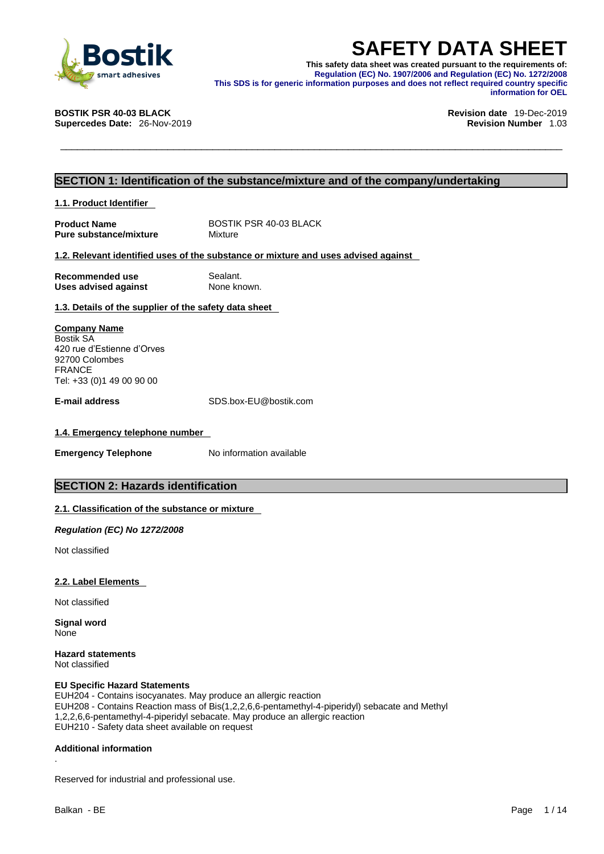

**SAFETY DATA SHEET**<br>
This safety data sheet was created pursuant to the requirements of:<br>
Regulation (EC) No. 1907/2006 and Regulation (EC) No. 1272/2008<br>
This SDS is for generic information purposes and does not reflect r **This safety data sheet was created pursuant to the requirements of: Regulation (EC) No. 1907/2006 and Regulation (EC) No. 1272/2008 This SDS is for generic information purposes and does not reflect required country specific information for OEL** 

**Supercedes Date: 26-Nov-2019** 

**BOSTIK PSR 40-03 BLACK Revision date** 19-Dec-2019

### **SECTION 1: Identification of the substance/mixture and of the company/undertaking**

**1.1. Product Identifier** 

**Product Name** BOSTIK PSR 40-03 BLACK<br> **Pure substance/mixture** Mixture **Pure substance/mixture** 

#### **1.2. Relevant identified uses of the substance or mixture and uses advised against**

| Recommended use             | Sealant.    |
|-----------------------------|-------------|
| <b>Uses advised against</b> | None known. |

#### **1.3. Details of the supplier of the safety data sheet**

**Company Name** Bostik SA 420 rue d'Estienne d'Orves 92700 Colombes FRANCE Tel: +33 (0)1 49 00 90 00

**E-mail address** SDS.box-EU@bostik.com

#### **1.4. Emergency telephone number**

**Emergency Telephone** No information available

### **SECTION 2: Hazards identification**

#### **2.1. Classification of the substance or mixture**

*Regulation (EC) No 1272/2008* 

Not classified

#### **2.2. Label Elements**

Not classified

**Signal word** None

**Hazard statements** Not classified

#### **EU Specific Hazard Statements**

EUH204 - Contains isocyanates. May produce an allergic reaction EUH208 - Contains Reaction mass of Bis(1,2,2,6,6-pentamethyl-4-piperidyl) sebacate and Methyl 1,2,2,6,6-pentamethyl-4-piperidyl sebacate. May produce an allergic reaction EUH210 - Safety data sheet available on request

#### **Additional information**

.Reserved for industrial and professional use.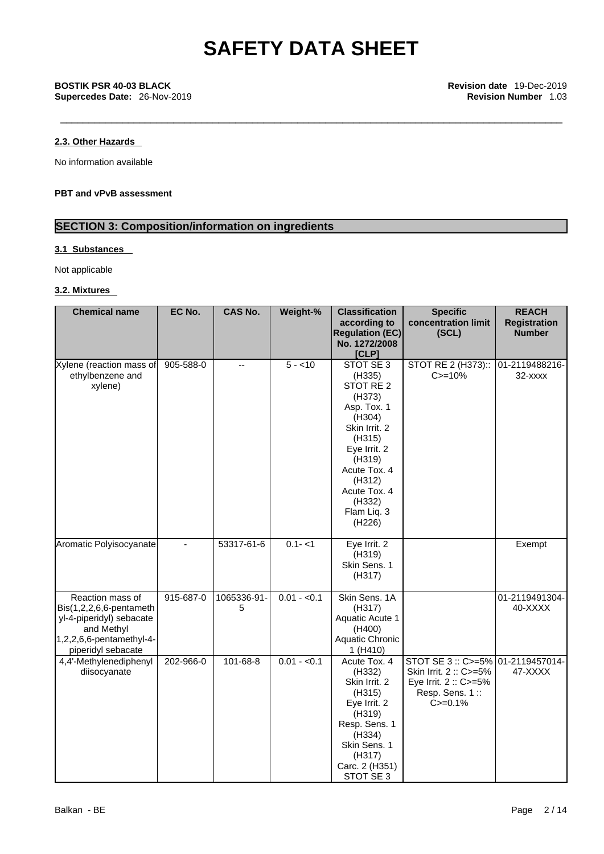### **2.3. Other Hazards**

No information available

#### **PBT and vPvB assessment**

### **SECTION 3: Composition/information on ingredients**

### **3.1 Substances**

Not applicable

#### **3.2. Mixtures**

| <b>Chemical name</b>                                                                                                                          | EC No.    | <b>CAS No.</b>           | Weight-%     | <b>Classification</b><br>according to<br><b>Regulation (EC)</b><br>No. 1272/2008<br>[CLP]                                                                                                             | <b>Specific</b><br>concentration limit<br>(SCL)                                                    | <b>REACH</b><br><b>Registration</b><br><b>Number</b> |
|-----------------------------------------------------------------------------------------------------------------------------------------------|-----------|--------------------------|--------------|-------------------------------------------------------------------------------------------------------------------------------------------------------------------------------------------------------|----------------------------------------------------------------------------------------------------|------------------------------------------------------|
| Xylene (reaction mass of<br>ethylbenzene and<br>xylene)                                                                                       | 905-588-0 | $\overline{\phantom{a}}$ | $5 - 10$     | STOT SE 3<br>(H335)<br>STOT RE 2<br>(H373)<br>Asp. Tox. 1<br>(H304)<br>Skin Irrit. 2<br>(H315)<br>Eye Irrit. 2<br>(H319)<br>Acute Tox. 4<br>(H312)<br>Acute Tox. 4<br>(H332)<br>Flam Liq. 3<br>(H226) | STOT RE 2 (H373)::<br>$C = 10%$                                                                    | 01-2119488216-<br>$32  xxxx$                         |
| Aromatic Polyisocyanate                                                                                                                       |           | 53317-61-6               | $0.1 - 1$    | Eye Irrit. 2<br>(H319)<br>Skin Sens. 1<br>(H317)                                                                                                                                                      |                                                                                                    | Exempt                                               |
| Reaction mass of<br>$Bis(1,2,2,6,6-pentament)$<br>yl-4-piperidyl) sebacate<br>and Methyl<br>$1,2,2,6,6$ -pentamethyl-4-<br>piperidyl sebacate | 915-687-0 | 1065336-91-<br>5         | $0.01 - 0.1$ | Skin Sens. 1A<br>(H317)<br>Aquatic Acute 1<br>(H400)<br>Aquatic Chronic<br>1 (H410)                                                                                                                   |                                                                                                    | 01-2119491304-<br>40-XXXX                            |
| 4,4'-Methylenediphenyl<br>diisocyanate                                                                                                        | 202-966-0 | 101-68-8                 | $0.01 - 0.1$ | Acute Tox. 4<br>(H332)<br>Skin Irrit. 2<br>(H315)<br>Eye Irrit. 2<br>(H319)<br>Resp. Sens. 1<br>(H334)<br>Skin Sens. 1<br>(H317)<br>Carc. 2 (H351)<br>STOT SE 3                                       | STOT SE 3: C>=5%<br>Skin Irrit. 2: C>=5%<br>Eye Irrit. 2 :: C>=5%<br>Resp. Sens. 1::<br>$C = 0.1%$ | 01-2119457014-<br>47-XXXX                            |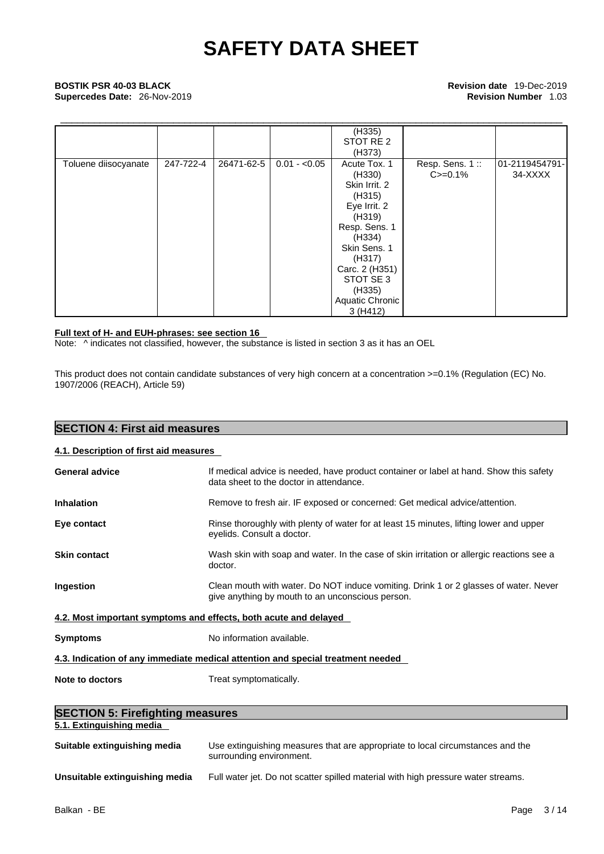## \_\_\_\_\_\_\_\_\_\_\_\_\_\_\_\_\_\_\_\_\_\_\_\_\_\_\_\_\_\_\_\_\_\_\_\_\_\_\_\_\_\_\_\_\_\_\_\_\_\_\_\_\_\_\_\_\_\_\_\_\_\_\_\_\_\_\_\_\_\_\_\_\_\_\_\_\_\_\_\_\_\_\_\_\_\_\_\_\_ **BOSTIK PSR 40-03 BLACK Revision date** 19-Dec-2019 **Supercedes Date:** 26-Nov-2019 **Revision Number** 1.03

|                                                 |               | (H335)<br>STOT RE 2<br>(H373)                                                                                                                                                                           |                                |                           |
|-------------------------------------------------|---------------|---------------------------------------------------------------------------------------------------------------------------------------------------------------------------------------------------------|--------------------------------|---------------------------|
| 247-722-4<br>26471-62-5<br>Toluene diisocyanate | $0.01 - 0.05$ | Acute Tox. 1<br>(H330)<br>Skin Irrit. 2<br>(H315)<br>Eye Irrit. 2<br>(H319)<br>Resp. Sens. 1<br>(H334)<br>Skin Sens. 1<br>(H317)<br>Carc. 2 (H351)<br>STOT SE 3<br>(H335)<br>Aquatic Chronic<br>3(H412) | Resp. Sens. 1::<br>$C = 0.1\%$ | 01-2119454791-<br>34-XXXX |

#### **Full text of H- and EUH-phrases: see section 16**

Note: ^ indicates not classified, however, the substance is listed in section 3 as it has an OEL

This product does not contain candidate substances of very high concern at a concentration >=0.1% (Regulation (EC) No. 1907/2006 (REACH), Article 59)

| <b>SECTION 4: First aid measures</b>    |                                                                                                                                          |
|-----------------------------------------|------------------------------------------------------------------------------------------------------------------------------------------|
| 4.1. Description of first aid measures  |                                                                                                                                          |
| <b>General advice</b>                   | If medical advice is needed, have product container or label at hand. Show this safety<br>data sheet to the doctor in attendance.        |
| <b>Inhalation</b>                       | Remove to fresh air. IF exposed or concerned: Get medical advice/attention.                                                              |
| Eye contact                             | Rinse thoroughly with plenty of water for at least 15 minutes, lifting lower and upper<br>eyelids. Consult a doctor.                     |
| <b>Skin contact</b>                     | Wash skin with soap and water. In the case of skin irritation or allergic reactions see a<br>doctor.                                     |
| Ingestion                               | Clean mouth with water. Do NOT induce vomiting. Drink 1 or 2 glasses of water. Never<br>give anything by mouth to an unconscious person. |
|                                         | 4.2. Most important symptoms and effects, both acute and delayed                                                                         |
| <b>Symptoms</b>                         | No information available.                                                                                                                |
|                                         | 4.3. Indication of any immediate medical attention and special treatment needed                                                          |
| Note to doctors                         | Treat symptomatically.                                                                                                                   |
| <b>SECTION 5: Firefighting measures</b> |                                                                                                                                          |
| 5.1. Extinguishing media                |                                                                                                                                          |

| Suitable extinguishing media   | Use extinguishing measures that are appropriate to local circumstances and the<br>surrounding environment. |
|--------------------------------|------------------------------------------------------------------------------------------------------------|
| Unsuitable extinguishing media | Full water jet. Do not scatter spilled material with high pressure water streams.                          |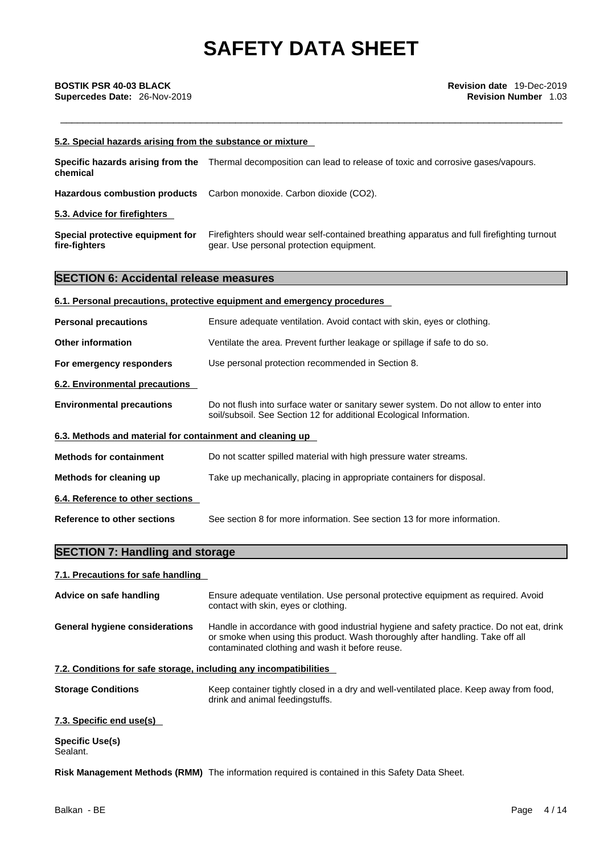| <b>BOSTIK PSR 40-03 BLACK</b><br>Supercedes Date: 26-Nov-2019     | <b>Revision date 19-Dec-2019</b><br><b>Revision Number 1.03</b>                                                                                                                                                               |
|-------------------------------------------------------------------|-------------------------------------------------------------------------------------------------------------------------------------------------------------------------------------------------------------------------------|
| 5.2. Special hazards arising from the substance or mixture        |                                                                                                                                                                                                                               |
| Specific hazards arising from the<br>chemical                     | Thermal decomposition can lead to release of toxic and corrosive gases/vapours.                                                                                                                                               |
| <b>Hazardous combustion products</b>                              | Carbon monoxide. Carbon dioxide (CO2).                                                                                                                                                                                        |
| 5.3. Advice for firefighters                                      |                                                                                                                                                                                                                               |
| Special protective equipment for<br>fire-fighters                 | Firefighters should wear self-contained breathing apparatus and full firefighting turnout<br>gear. Use personal protection equipment.                                                                                         |
| <b>SECTION 6: Accidental release measures</b>                     |                                                                                                                                                                                                                               |
|                                                                   | 6.1. Personal precautions, protective equipment and emergency procedures                                                                                                                                                      |
| <b>Personal precautions</b>                                       | Ensure adequate ventilation. Avoid contact with skin, eyes or clothing.                                                                                                                                                       |
| <b>Other information</b>                                          | Ventilate the area. Prevent further leakage or spillage if safe to do so.                                                                                                                                                     |
| For emergency responders                                          | Use personal protection recommended in Section 8.                                                                                                                                                                             |
| 6.2. Environmental precautions                                    |                                                                                                                                                                                                                               |
| <b>Environmental precautions</b>                                  | Do not flush into surface water or sanitary sewer system. Do not allow to enter into<br>soil/subsoil. See Section 12 for additional Ecological Information.                                                                   |
| 6.3. Methods and material for containment and cleaning up         |                                                                                                                                                                                                                               |
| <b>Methods for containment</b>                                    | Do not scatter spilled material with high pressure water streams.                                                                                                                                                             |
| Methods for cleaning up                                           | Take up mechanically, placing in appropriate containers for disposal.                                                                                                                                                         |
| 6.4. Reference to other sections                                  |                                                                                                                                                                                                                               |
| <b>Reference to other sections</b>                                | See section 8 for more information. See section 13 for more information.                                                                                                                                                      |
| <b>SECTION 7: Handling and storage</b>                            |                                                                                                                                                                                                                               |
| 7.1. Precautions for safe handling                                |                                                                                                                                                                                                                               |
| Advice on safe handling                                           | Ensure adequate ventilation. Use personal protective equipment as required. Avoid<br>contact with skin, eyes or clothing.                                                                                                     |
| <b>General hygiene considerations</b>                             | Handle in accordance with good industrial hygiene and safety practice. Do not eat, drink<br>or smoke when using this product. Wash thoroughly after handling. Take off all<br>contaminated clothing and wash it before reuse. |
| 7.2. Conditions for safe storage, including any incompatibilities |                                                                                                                                                                                                                               |
| <b>Storage Conditions</b>                                         | Keep container tightly closed in a dry and well-ventilated place. Keep away from food,<br>drink and animal feedingstuffs.                                                                                                     |
| 7.3. Specific end use(s)                                          |                                                                                                                                                                                                                               |

**Specific Use(s)** Sealant.

**Risk Management Methods (RMM)** The information required is contained in this Safety Data Sheet.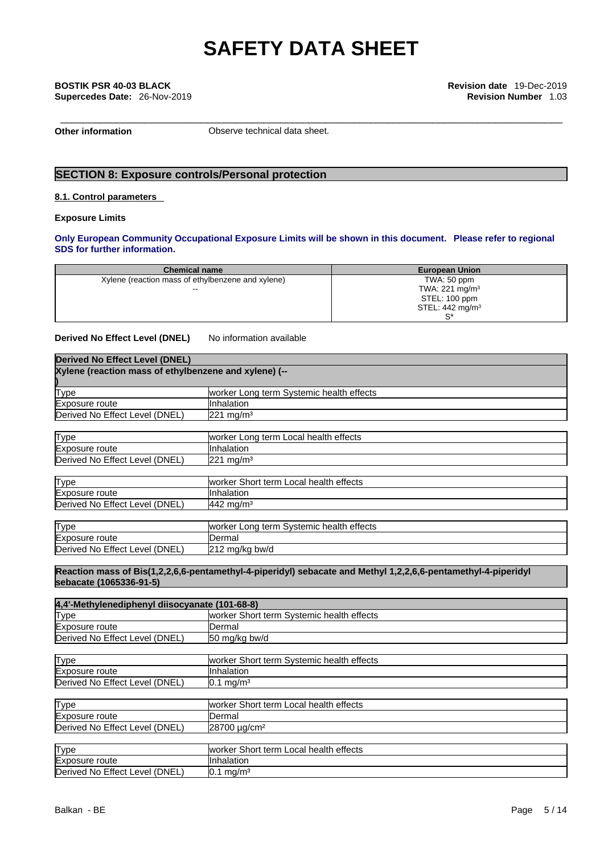\_\_\_\_\_\_\_\_\_\_\_\_\_\_\_\_\_\_\_\_\_\_\_\_\_\_\_\_\_\_\_\_\_\_\_\_\_\_\_\_\_\_\_\_\_\_\_\_\_\_\_\_\_\_\_\_\_\_\_\_\_\_\_\_\_\_\_\_\_\_\_\_\_\_\_\_\_\_\_\_\_\_\_\_\_\_\_\_\_ **BOSTIK PSR 40-03 BLACK Revision date** 19-Dec-2019 **Supercedes Date:** 26-Nov-2019 **Revision Number** 1.03

**Other information Observe technical data sheet.** 

## **SECTION 8: Exposure controls/Personal protection**

#### **8.1. Control parameters**

**Exposure Limits**

#### **Only European Community Occupational Exposure Limits will be shown in this document. Please refer to regional SDS for further information.**

| <b>Chemical name</b>                              | <b>European Union</b>      |
|---------------------------------------------------|----------------------------|
| Xylene (reaction mass of ethylbenzene and xylene) | TWA: 50 ppm                |
| $\sim$                                            | TWA: 221 mg/m <sup>3</sup> |
|                                                   | STEL: 100 ppm              |
|                                                   | STEL: $442 \text{ mg/m}^3$ |
|                                                   | c*                         |

**Derived No Effect Level (DNEL)** No information available

| <b>Derived No Effect Level (DNEL)</b>                 |                                          |
|-------------------------------------------------------|------------------------------------------|
| Xylene (reaction mass of ethylbenzene and xylene) (-- |                                          |
|                                                       |                                          |
| <b>Type</b>                                           | worker Long term Systemic health effects |
| Exposure route                                        | Inhalation                               |
| Derived No Effect Level (DNEL)                        | $221$ mg/m <sup>3</sup>                  |
|                                                       |                                          |
| <b>Type</b>                                           | worker Long term Local health effects    |
| Exposure route                                        | Inhalation                               |
| Derived No Effect Level (DNEL)                        | $221 \text{ mg/m}^3$                     |
|                                                       |                                          |
| <b>Type</b>                                           | worker Short term Local health effects   |
| Exposure route                                        | llnhalation                              |
| Derived No Effect Level (DNEL)                        | $442$ mg/m <sup>3</sup>                  |
|                                                       |                                          |
| Type                                                  | worker Long term Systemic health effects |
| Exposure route                                        | Dermal                                   |
| Derived No Effect Level (DNEL)                        | 212 mg/kg bw/d                           |

**Reaction mass of Bis(1,2,2,6,6-pentamethyl-4-piperidyl) sebacate and Methyl 1,2,2,6,6-pentamethyl-4-piperidyl sebacate (1065336-91-5)**

| 4,4'-Methylenediphenyl diisocyanate (101-68-8) |                                           |  |
|------------------------------------------------|-------------------------------------------|--|
| <b>Type</b>                                    | worker Short term Systemic health effects |  |
| Exposure route                                 | IDermal                                   |  |
| Derived No Effect Level (DNEL)                 | 50 mg/kg bw/d                             |  |
|                                                |                                           |  |
| Type                                           | worker Short term Systemic health effects |  |
| Exposure route                                 | Ilnhalation                               |  |
| Derived No Effect Level (DNEL)                 | $0.1 \text{ mg/m}^3$                      |  |
|                                                |                                           |  |
| <b>Type</b>                                    | worker Short term Local health effects    |  |
| Exposure route                                 | IDermal                                   |  |
| Derived No Effect Level (DNEL)                 | 28700 µg/cm <sup>2</sup>                  |  |
|                                                |                                           |  |
| Type                                           | Iworker Short term Local health effects   |  |
| Exposure route                                 | Ilnhalation                               |  |
| Derived No Effect Level (DNEL)                 | $0.1 \text{ mg/m}^3$                      |  |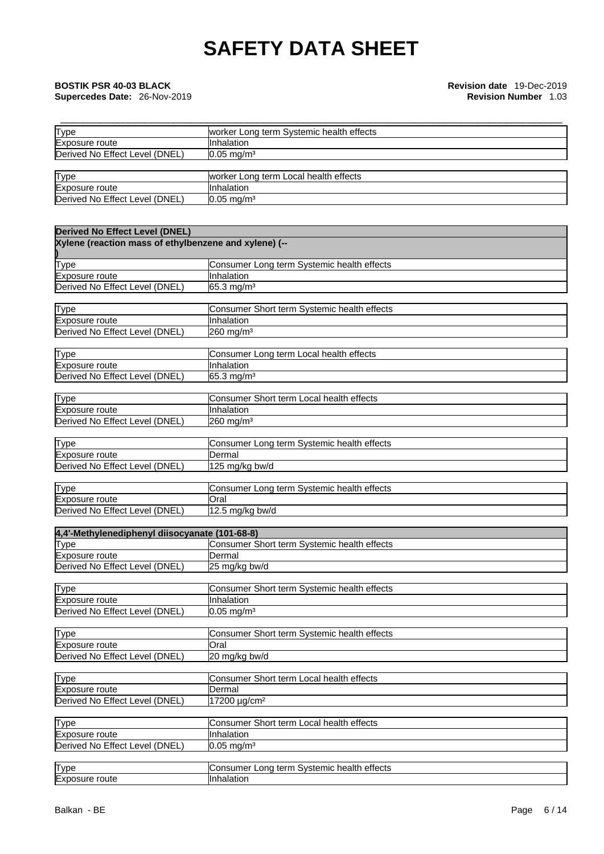## **Supercedes Date: 26-Nov-2019**

\_\_\_\_\_\_\_\_\_\_\_\_\_\_\_\_\_\_\_\_\_\_\_\_\_\_\_\_\_\_\_\_\_\_\_\_\_\_\_\_\_\_\_\_\_\_\_\_\_\_\_\_\_\_\_\_\_\_\_\_\_\_\_\_\_\_\_\_\_\_\_\_\_\_\_\_\_\_\_\_\_\_\_\_\_\_\_\_\_ **BOSTIK PSR 40-03 BLACK Revision date** 19-Dec-2019

| <b>Type</b>                    | worker Long term Systemic health effects |
|--------------------------------|------------------------------------------|
| Exposure route                 | <b>Inhalation</b>                        |
| Derived No Effect Level (DNEL) | $0.05 \text{ mg/m}^3$                    |
|                                |                                          |
| <b>Type</b>                    | worker Long term Local health effects    |
| Exposure route                 | <b>I</b> Inhalation                      |
| Derived No Effect Level (DNEL) | $10.05 \text{ mg/m}^3$                   |

| <b>Derived No Effect Level (DNEL)</b>                   |                                                           |
|---------------------------------------------------------|-----------------------------------------------------------|
| Xylene (reaction mass of ethylbenzene and xylene) (--   |                                                           |
| <b>Type</b>                                             | Consumer Long term Systemic health effects                |
| Exposure route                                          | Inhalation                                                |
| Derived No Effect Level (DNEL)                          | 65.3 mg/m <sup>3</sup>                                    |
|                                                         |                                                           |
| Type<br>Exposure route                                  | Consumer Short term Systemic health effects<br>Inhalation |
| Derived No Effect Level (DNEL)                          | 260 mg/m <sup>3</sup>                                     |
|                                                         |                                                           |
| <b>Type</b>                                             | Consumer Long term Local health effects                   |
| Exposure route                                          | Inhalation                                                |
| Derived No Effect Level (DNEL)                          | 65.3 mg/m <sup>3</sup>                                    |
|                                                         |                                                           |
| <b>Type</b>                                             | Consumer Short term Local health effects                  |
| Exposure route                                          | Inhalation                                                |
| Derived No Effect Level (DNEL)                          | 260 mg/m <sup>3</sup>                                     |
|                                                         |                                                           |
| Type                                                    | Consumer Long term Systemic health effects<br>Dermal      |
| Exposure route<br>Derived No Effect Level (DNEL)        | 125 mg/kg bw/d                                            |
|                                                         |                                                           |
| Type                                                    | Consumer Long term Systemic health effects                |
| Exposure route                                          | Oral                                                      |
| Derived No Effect Level (DNEL)                          | 12.5 mg/kg bw/d                                           |
|                                                         |                                                           |
| 4,4'-Methylenediphenyl diisocyanate (101-68-8)          |                                                           |
| Type                                                    | Consumer Short term Systemic health effects               |
| Exposure route                                          | Dermal                                                    |
| Derived No Effect Level (DNEL)                          | 25 mg/kg bw/d                                             |
| <b>Type</b>                                             | Consumer Short term Systemic health effects               |
| Exposure route                                          | Inhalation                                                |
| Derived No Effect Level (DNEL)                          | $0.05$ mg/m <sup>3</sup>                                  |
|                                                         |                                                           |
| Type                                                    | Consumer Short term Systemic health effects               |
| Exposure route                                          | Oral                                                      |
| Derived No Effect Level (DNEL)                          | 20 mg/kg bw/d                                             |
|                                                         |                                                           |
| Type                                                    | Consumer Short term Local health effects                  |
| <b>Exposure route</b><br>Derived No Effect Level (DNEL) | Dermal<br>17200 µg/cm <sup>2</sup>                        |
|                                                         |                                                           |
| <b>Type</b>                                             | Consumer Short term Local health effects                  |
| Exposure route                                          | Inhalation                                                |
| Derived No Effect Level (DNEL)                          | $0.05$ mg/m <sup>3</sup>                                  |
|                                                         |                                                           |
| Type                                                    | Consumer Long term Systemic health effects                |
| Exposure route                                          | Inhalation                                                |
|                                                         |                                                           |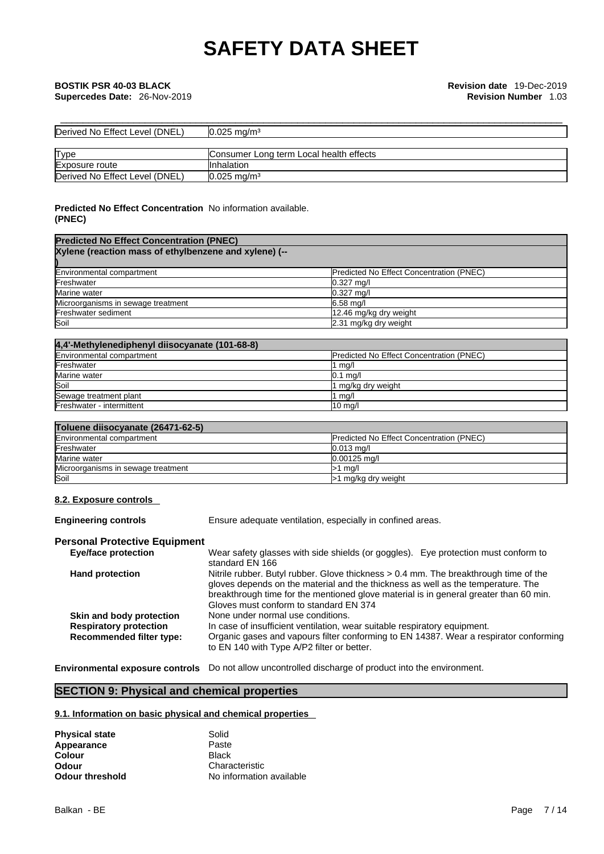| Derived No Effect Level (DNEL) | $10.025 \text{ ma/m}^3$                 |
|--------------------------------|-----------------------------------------|
|                                |                                         |
| <b>Type</b>                    | Consumer Long term Local health effects |
| Exposure route                 | <b>Ilnhalation</b>                      |
| Derived No Effect Level (DNEL) | $0.025 \text{ mg/m}^3$                  |

### **Predicted No Effect Concentration** No information available. **(PNEC)**

| <b>Predicted No Effect Concentration (PNEC)</b>       |                                          |  |
|-------------------------------------------------------|------------------------------------------|--|
| Xylene (reaction mass of ethylbenzene and xylene) (-- |                                          |  |
|                                                       |                                          |  |
| Environmental compartment                             | Predicted No Effect Concentration (PNEC) |  |
| Freshwater                                            | $0.327$ mg/l                             |  |
| Marine water                                          | $0.327$ mg/l                             |  |
| Microorganisms in sewage treatment                    | $6.58$ mg/                               |  |
| Freshwater sediment                                   | 12.46 mg/kg dry weight                   |  |
| Soil                                                  | 2.31 mg/kg dry weight                    |  |

| 4,4'-Methylenediphenyl diisocyanate (101-68-8) |                                                  |  |
|------------------------------------------------|--------------------------------------------------|--|
| Environmental compartment                      | <b>IPredicted No Effect Concentration (PNEC)</b> |  |
| Freshwater                                     | 1 $mq/l$                                         |  |
| Marine water                                   | $0.1$ mg/l                                       |  |
| Soil                                           | 1 mg/kg dry weight                               |  |
| Sewage treatment plant                         | 1 $mq/l$                                         |  |
| Freshwater - intermittent                      | $10 \text{ mg/l}$                                |  |

### **Toluene diisocyanate (26471-62-5)**

| Environmental compartment          | <b>Predicted No Effect Concentration (PNEC)</b> |
|------------------------------------|-------------------------------------------------|
| Freshwater                         | $0.013$ ma/                                     |
| Marine water                       | $0.00125$ ma/l                                  |
| Microorganisms in sewage treatment | ma/l                                            |
| Soil                               | >1 mg/kg dry weight                             |

### **8.2. Exposure controls**

**Engineering controls** Ensure adequate ventilation, especially in confined areas.

#### **Personal Protective Equipment**

| <b>Eye/face protection</b>      | Wear safety glasses with side shields (or goggles). Eye protection must conform to    |
|---------------------------------|---------------------------------------------------------------------------------------|
|                                 | standard EN 166                                                                       |
| <b>Hand protection</b>          | Nitrile rubber. Butyl rubber. Glove thickness > 0.4 mm. The breakthrough time of the  |
|                                 | gloves depends on the material and the thickness as well as the temperature. The      |
|                                 | breakthrough time for the mentioned glove material is in general greater than 60 min. |
|                                 | Gloves must conform to standard EN 374                                                |
| Skin and body protection        | None under normal use conditions.                                                     |
| <b>Respiratory protection</b>   | In case of insufficient ventilation, wear suitable respiratory equipment.             |
| <b>Recommended filter type:</b> | Organic gases and vapours filter conforming to EN 14387. Wear a respirator conforming |
|                                 | to EN 140 with Type A/P2 filter or better.                                            |
|                                 |                                                                                       |

**Environmental exposure controls** Do not allow uncontrolled discharge of product into the environment.

## **SECTION 9: Physical and chemical properties**

#### **9.1. Information on basic physical and chemical properties**

| Physical state  | Solid                    |
|-----------------|--------------------------|
| Appearance      | Paste                    |
| Colour          | <b>Black</b>             |
| Odour           | Characteristic           |
| Odour threshold | No information available |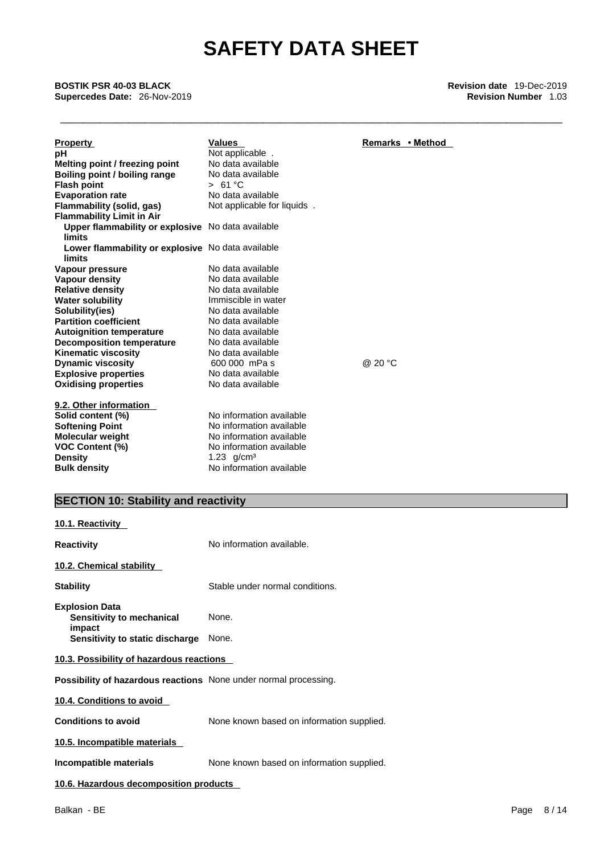\_\_\_\_\_\_\_\_\_\_\_\_\_\_\_\_\_\_\_\_\_\_\_\_\_\_\_\_\_\_\_\_\_\_\_\_\_\_\_\_\_\_\_\_\_\_\_\_\_\_\_\_\_\_\_\_\_\_\_\_\_\_\_\_\_\_\_\_\_\_\_\_\_\_\_\_\_\_\_\_\_\_\_\_\_\_\_\_\_ **BOSTIK PSR 40-03 BLACK Revision date** 19-Dec-2019 **Supercedes Date: 26-Nov-2019** 

| <b>Property</b><br>рH<br>Melting point / freezing point<br>Boiling point / boiling range<br><b>Flash point</b><br><b>Evaporation rate</b><br>Flammability (solid, gas)<br><b>Flammability Limit in Air</b><br>Upper flammability or explosive No data available<br>limits<br>Lower flammability or explosive No data available<br>limits<br>Vapour pressure<br>Vapour density<br><b>Relative density</b><br><b>Water solubility</b><br>Solubility(ies)<br><b>Partition coefficient</b><br><b>Autoignition temperature</b><br><b>Decomposition temperature</b><br><b>Kinematic viscosity</b><br><b>Dynamic viscosity</b><br><b>Explosive properties</b><br><b>Oxidising properties</b><br>9.2. Other information<br>Solid content (%) | <b>Values</b><br>Not applicable.<br>No data available<br>No data available<br>> 61 °C<br>No data available<br>Not applicable for liquids.<br>No data available<br>No data available<br>No data available<br>Immiscible in water<br>No data available<br>No data available<br>No data available<br>No data available<br>No data available<br>600 000 mPa s<br>No data available<br>No data available<br>No information available<br>No information available | Remarks • Method<br>@ 20 °C |
|--------------------------------------------------------------------------------------------------------------------------------------------------------------------------------------------------------------------------------------------------------------------------------------------------------------------------------------------------------------------------------------------------------------------------------------------------------------------------------------------------------------------------------------------------------------------------------------------------------------------------------------------------------------------------------------------------------------------------------------|-------------------------------------------------------------------------------------------------------------------------------------------------------------------------------------------------------------------------------------------------------------------------------------------------------------------------------------------------------------------------------------------------------------------------------------------------------------|-----------------------------|
| <b>Softening Point</b><br><b>Molecular weight</b><br><b>VOC Content (%)</b><br><b>Density</b><br><b>Bulk density</b>                                                                                                                                                                                                                                                                                                                                                                                                                                                                                                                                                                                                                 | No information available<br>No information available<br>1.23 $q/cm3$<br>No information available                                                                                                                                                                                                                                                                                                                                                            |                             |

## **SECTION 10: Stability and reactivity**

| 10.1. Reactivity                                                                     |                                           |  |  |
|--------------------------------------------------------------------------------------|-------------------------------------------|--|--|
| <b>Reactivity</b>                                                                    | No information available.                 |  |  |
| 10.2. Chemical stability                                                             |                                           |  |  |
| <b>Stability</b>                                                                     | Stable under normal conditions.           |  |  |
| <b>Explosion Data</b><br>Sensitivity to mechanical<br>impact                         | None.                                     |  |  |
| Sensitivity to static discharge<br>None.<br>10.3. Possibility of hazardous reactions |                                           |  |  |
| <b>Possibility of hazardous reactions</b> None under normal processing.              |                                           |  |  |
| 10.4. Conditions to avoid                                                            |                                           |  |  |
| <b>Conditions to avoid</b>                                                           | None known based on information supplied. |  |  |
| 10.5. Incompatible materials                                                         |                                           |  |  |
| Incompatible materials                                                               | None known based on information supplied. |  |  |
| 10.6. Hazardous decomposition products                                               |                                           |  |  |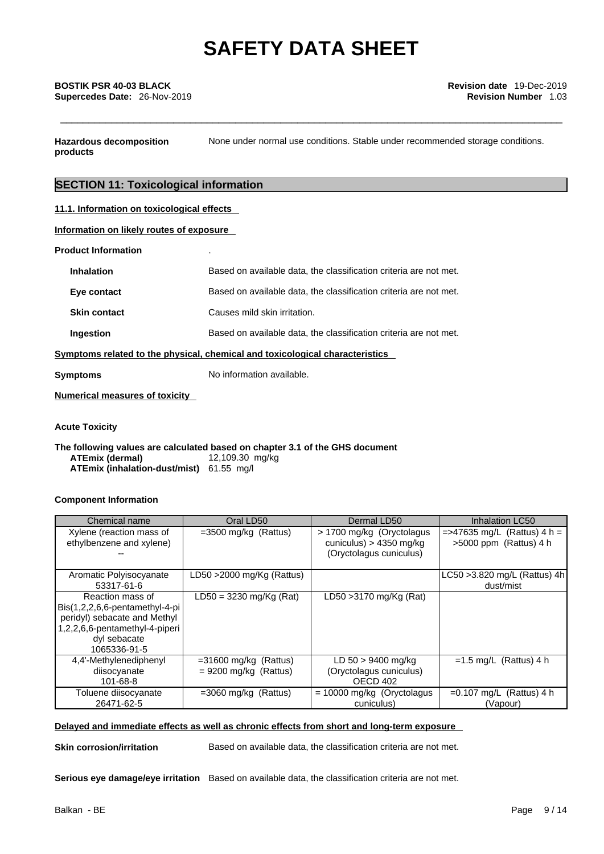**Hazardous decomposition products**  None under normal use conditions. Stable under recommended storage conditions.

### **SECTION 11: Toxicological information**

| 11.1. Information on toxicological effects |
|--------------------------------------------|
|                                            |

**Information on likely routes of exposure**

#### **Product Information** .

| <b>Inhalation</b>                                                            | Based on available data, the classification criteria are not met. |  |
|------------------------------------------------------------------------------|-------------------------------------------------------------------|--|
| Eye contact                                                                  | Based on available data, the classification criteria are not met. |  |
| <b>Skin contact</b>                                                          | Causes mild skin irritation.                                      |  |
| Ingestion                                                                    | Based on available data, the classification criteria are not met. |  |
| Symptoms related to the physical, chemical and toxicological characteristics |                                                                   |  |
| Symptoms                                                                     | No information available.                                         |  |

**Numerical measures of toxicity**

**Acute Toxicity** 

**The following values are calculated based on chapter 3.1 of the GHS document ATEmix (dermal)**12,109.30 mg/kg **ATEmix (inhalation-dust/mist)** 61.55 mg/l

#### **Component Information**

| Chemical name                                                                                                                                            | Oral LD50                                          | Dermal LD50                                                                        | Inhalation LC50                                          |
|----------------------------------------------------------------------------------------------------------------------------------------------------------|----------------------------------------------------|------------------------------------------------------------------------------------|----------------------------------------------------------|
| Xylene (reaction mass of<br>ethylbenzene and xylene)                                                                                                     | $=3500$ mg/kg (Rattus)                             | > 1700 mg/kg (Oryctolagus)<br>cuniculus) $> 4350$ mg/kg<br>(Oryctolagus cuniculus) | $=$ >47635 mg/L (Rattus) 4 h =<br>>5000 ppm (Rattus) 4 h |
| Aromatic Polyisocyanate<br>53317-61-6                                                                                                                    | LD50 $>$ 2000 mg/Kg (Rattus)                       |                                                                                    | LC50 > 3.820 mg/L (Rattus) 4h<br>dust/mist               |
| Reaction mass of<br>$Bis(1,2,2,6,6-pentamentlyl-4-pi)$<br>peridyl) sebacate and Methyl<br>1,2,2,6,6-pentamethyl-4-piperi<br>dyl sebacate<br>1065336-91-5 | $LD50 = 3230$ mg/Kg (Rat)                          | LD50 > 3170 mg/Kg (Rat)                                                            |                                                          |
| 4,4'-Methylenediphenyl<br>diisocyanate<br>101-68-8                                                                                                       | $=31600$ mg/kg (Rattus)<br>$= 9200$ mg/kg (Rattus) | $LD 50 > 9400$ mg/kg<br>(Oryctolagus cuniculus)<br>OECD 402                        | $=1.5$ mg/L (Rattus) 4 h                                 |
| Toluene diisocyanate<br>26471-62-5                                                                                                                       | $=3060$ mg/kg (Rattus)                             | $= 10000$ mg/kg (Oryctolagus<br>cuniculus)                                         | $=0.107$ mg/L (Rattus) 4 h<br>(Vapour)                   |

#### **Delayed and immediate effects as well as chronic effects from short and long-term exposure**

**Skin corrosion/irritation** Based on available data, the classification criteria are not met.

**Serious eye damage/eye irritation** Based on available data, the classification criteria are not met.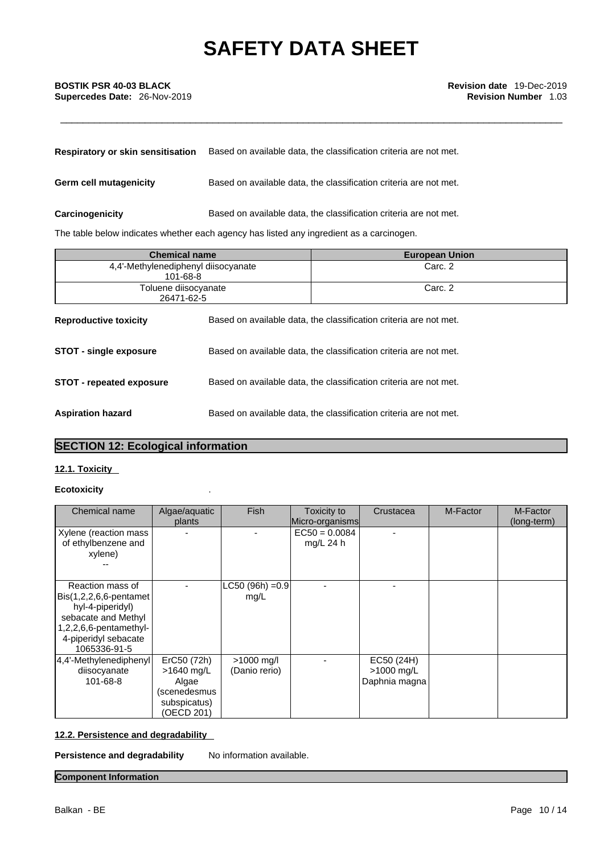## \_\_\_\_\_\_\_\_\_\_\_\_\_\_\_\_\_\_\_\_\_\_\_\_\_\_\_\_\_\_\_\_\_\_\_\_\_\_\_\_\_\_\_\_\_\_\_\_\_\_\_\_\_\_\_\_\_\_\_\_\_\_\_\_\_\_\_\_\_\_\_\_\_\_\_\_\_\_\_\_\_\_\_\_\_\_\_\_\_ **BOSTIK PSR 40-03 BLACK Revision date** 19-Dec-2019 **Supercedes Date:** 26-Nov-2019 **Revision Number** 1.03

| Respiratory or skin sensitisation | Based on available data, the classification criteria are not met. |
|-----------------------------------|-------------------------------------------------------------------|
| Germ cell mutagenicity            | Based on available data, the classification criteria are not met. |
| Carcinogenicity                   | Based on available data, the classification criteria are not met. |

The table below indicates whether each agency has listed any ingredient as a carcinogen.

| <b>Chemical name</b>                            |                                                                   | <b>European Union</b>                                             |
|-------------------------------------------------|-------------------------------------------------------------------|-------------------------------------------------------------------|
| 4.4'-Methylenediphenyl diisocyanate<br>101-68-8 |                                                                   | Carc. 2                                                           |
| Toluene diisocyanate<br>26471-62-5              |                                                                   | Carc. 2                                                           |
| <b>Reproductive toxicity</b>                    | Based on available data, the classification criteria are not met. |                                                                   |
| <b>STOT - single exposure</b>                   | Based on available data, the classification criteria are not met. |                                                                   |
| <b>STOT - repeated exposure</b>                 | Based on available data, the classification criteria are not met. |                                                                   |
| <b>Aspiration hazard</b>                        |                                                                   | Based on available data, the classification criteria are not met. |

## **SECTION 12: Ecological information**

#### **12.1. Toxicity**

#### **Ecotoxicity** .

| Chemical name                                                                                                                                               | Algae/aquatic<br>plants                                                          | Fish                          | Toxicity to<br>Micro-organisms | Crustacea                                 | M-Factor | M-Factor<br>(long-term) |  |
|-------------------------------------------------------------------------------------------------------------------------------------------------------------|----------------------------------------------------------------------------------|-------------------------------|--------------------------------|-------------------------------------------|----------|-------------------------|--|
| Xylene (reaction mass<br>of ethylbenzene and<br>xylene)                                                                                                     |                                                                                  |                               | $EC50 = 0.0084$<br>mg/L 24 $h$ |                                           |          |                         |  |
| Reaction mass of<br>Bis(1,2,2,6,6-pentamet)<br>hyl-4-piperidyl)<br>sebacate and Methyl<br>$1,2,2,6,6$ -pentamethyl-<br>4-piperidyl sebacate<br>1065336-91-5 |                                                                                  | LC50 (96h) = 0.9<br>mg/L      |                                |                                           |          |                         |  |
| 4,4'-Methylenediphenyl<br>diisocyanate<br>101-68-8                                                                                                          | ErC50 (72h)<br>>1640 mg/L<br>Algae<br>(scenedesmus<br>subspicatus)<br>(OECD 201) | $>1000$ mg/l<br>(Danio rerio) |                                | EC50 (24H)<br>>1000 mg/L<br>Daphnia magna |          |                         |  |

### **12.2. Persistence and degradability**

**Persistence and degradability** No information available.

### **Component Information**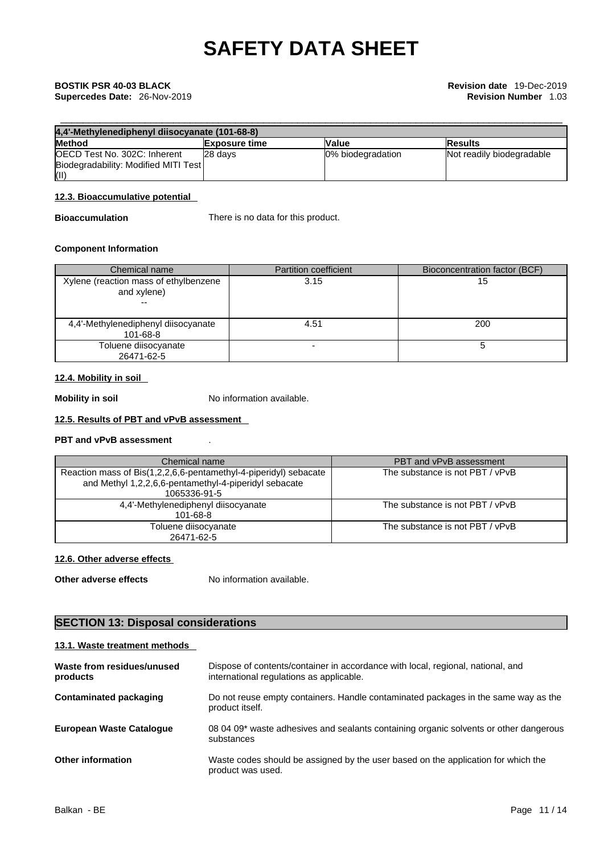| 4,4'-Methylenediphenyl diisocyanate (101-68-8) |                      |                   |                           |
|------------------------------------------------|----------------------|-------------------|---------------------------|
| <b>Method</b>                                  | <b>Exposure time</b> | <b>Value</b>      | <b>IResults</b>           |
| <b>IOECD Test No. 302C: Inherent</b>           | 28 days              | 0% biodegradation | Not readily biodegradable |
| Biodegradability: Modified MITI Test           |                      |                   |                           |
| (II)                                           |                      |                   |                           |

#### **12.3. Bioaccumulative potential**

**Bioaccumulation** There is no data for this product.

#### **Component Information**

| Chemical name                                                                    | <b>Partition coefficient</b> | Bioconcentration factor (BCF) |
|----------------------------------------------------------------------------------|------------------------------|-------------------------------|
| Xylene (reaction mass of ethylbenzene<br>and xylene)<br>$\overline{\phantom{m}}$ | 3.15                         | 15                            |
| 4,4'-Methylenediphenyl diisocyanate<br>101-68-8                                  | 4.51                         | 200                           |
| Toluene diisocyanate<br>26471-62-5                                               | $\overline{\phantom{a}}$     |                               |

#### **12.4. Mobility in soil**

**Mobility in soil** No information available.

### **12.5. Results of PBT and vPvB assessment**

### **PBT and vPvB assessment** .

| Chemical name                                                                                                                             | PBT and vPvB assessment         |
|-------------------------------------------------------------------------------------------------------------------------------------------|---------------------------------|
| Reaction mass of Bis(1,2,2,6,6-pentamethyl-4-piperidyl) sebacate<br>and Methyl 1,2,2,6,6-pentamethyl-4-piperidyl sebacate<br>1065336-91-5 | The substance is not PBT / vPvB |
| 4,4'-Methylenediphenyl diisocyanate<br>101-68-8                                                                                           | The substance is not PBT / vPvB |
| Toluene diisocyanate<br>26471-62-5                                                                                                        | The substance is not PBT / vPvB |

#### **12.6. Other adverse effects**

**Other adverse effects** No information available.

## **SECTION 13: Disposal considerations**

#### **13.1. Waste treatment methods**

| Waste from residues/unused<br>products | Dispose of contents/container in accordance with local, regional, national, and<br>international regulations as applicable. |
|----------------------------------------|-----------------------------------------------------------------------------------------------------------------------------|
| Contaminated packaging                 | Do not reuse empty containers. Handle contaminated packages in the same way as the<br>product itself.                       |
| <b>European Waste Cataloque</b>        | 08 04 09* waste adhesives and sealants containing organic solvents or other dangerous<br>substances                         |
| <b>Other information</b>               | Waste codes should be assigned by the user based on the application for which the<br>product was used.                      |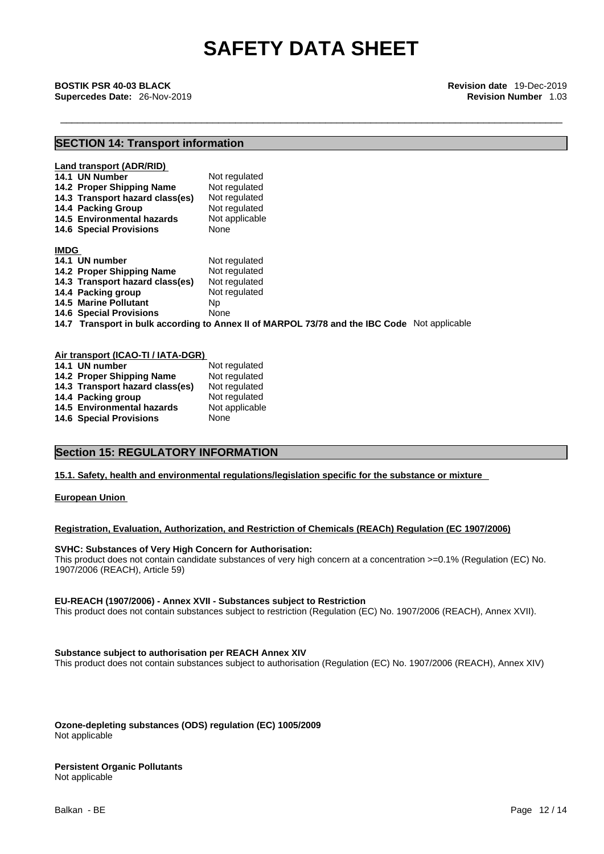\_\_\_\_\_\_\_\_\_\_\_\_\_\_\_\_\_\_\_\_\_\_\_\_\_\_\_\_\_\_\_\_\_\_\_\_\_\_\_\_\_\_\_\_\_\_\_\_\_\_\_\_\_\_\_\_\_\_\_\_\_\_\_\_\_\_\_\_\_\_\_\_\_\_\_\_\_\_\_\_\_\_\_\_\_\_\_\_\_ **BOSTIK PSR 40-03 BLACK Revision date** 19-Dec-2019 **Supercedes Date:** 26-Nov-2019 **Revision Number** 1.03

### **SECTION 14: Transport information**

|             | Land transport (ADR/RID)<br>14.1 UN Number<br>14.2 Proper Shipping Name<br>14.3 Transport hazard class(es)<br>14.4 Packing Group<br>14.5 Environmental hazards<br><b>14.6 Special Provisions</b> | Not regulated<br>Not regulated<br>Not regulated<br>Not regulated<br>Not applicable<br>None   |
|-------------|--------------------------------------------------------------------------------------------------------------------------------------------------------------------------------------------------|----------------------------------------------------------------------------------------------|
| <b>IMDG</b> |                                                                                                                                                                                                  |                                                                                              |
|             | 14.1 UN number                                                                                                                                                                                   | Not regulated                                                                                |
|             | 14.2 Proper Shipping Name                                                                                                                                                                        | Not regulated                                                                                |
|             | 14.3 Transport hazard class(es)                                                                                                                                                                  | Not regulated                                                                                |
|             | 14.4 Packing group                                                                                                                                                                               | Not regulated                                                                                |
|             | <b>14.5 Marine Pollutant</b>                                                                                                                                                                     | Np.                                                                                          |
|             | <b>14.6 Special Provisions</b>                                                                                                                                                                   | None                                                                                         |
|             |                                                                                                                                                                                                  | 14.7 Transport in bulk according to Annex II of MARPOL 73/78 and the IBC Code Not applicable |

#### **Air transport (ICAO-TI / IATA-DGR)**

| 14.1 UN number                  | Not regulated  |
|---------------------------------|----------------|
| 14.2 Proper Shipping Name       | Not regulated  |
| 14.3 Transport hazard class(es) | Not regulated  |
| 14.4 Packing group              | Not regulated  |
| 14.5 Environmental hazards      | Not applicable |
| <b>14.6 Special Provisions</b>  | None           |

### **Section 15: REGULATORY INFORMATION**

#### **15.1. Safety, health and environmental regulations/legislation specific for the substance or mixture**

**European Union** 

#### **Registration, Evaluation, Authorization, and Restriction of Chemicals (REACh) Regulation (EC 1907/2006)**

#### **SVHC: Substances of Very High Concern for Authorisation:**

This product does not contain candidate substances of very high concern at a concentration >=0.1% (Regulation (EC) No. 1907/2006 (REACH), Article 59)

#### **EU-REACH (1907/2006) - Annex XVII - Substances subject to Restriction**

This product does not contain substances subject to restriction (Regulation (EC) No. 1907/2006 (REACH), Annex XVII).

#### **Substance subject to authorisation per REACH Annex XIV**

This product does not contain substances subject to authorisation (Regulation (EC) No. 1907/2006 (REACH), Annex XIV)

**Ozone-depleting substances (ODS) regulation (EC) 1005/2009** Not applicable

#### **Persistent Organic Pollutants** Not applicable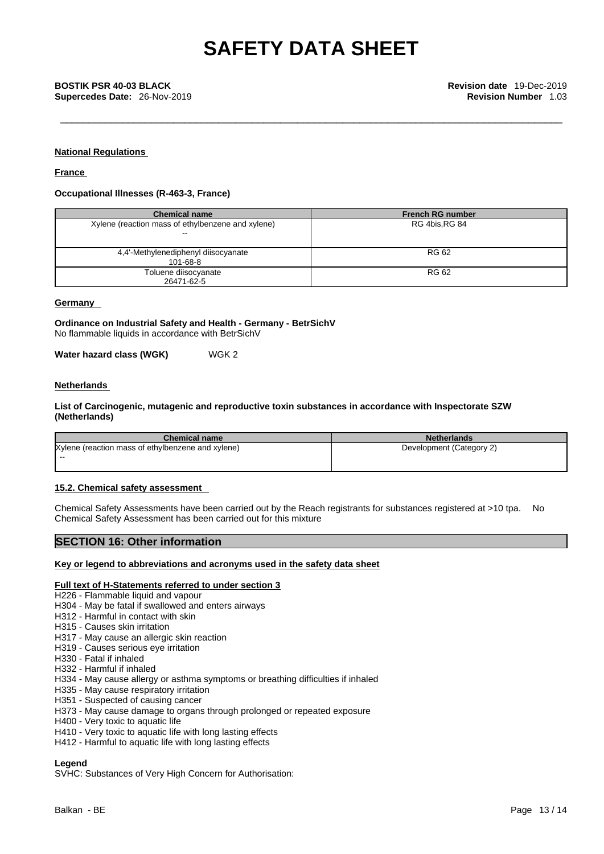**Supercedes Date:** 26-Nov-2019 **Revision Number** 1.03

#### **National Regulations**

**France** 

#### **Occupational Illnesses (R-463-3, France)**

| <b>Chemical name</b>                              | <b>French RG number</b> |  |
|---------------------------------------------------|-------------------------|--|
| Xylene (reaction mass of ethylbenzene and xylene) | RG 4bis, RG 84          |  |
|                                                   |                         |  |
| 4,4'-Methylenediphenyl diisocyanate               | <b>RG 62</b>            |  |
| 101-68-8                                          |                         |  |
| Toluene diisocyanate                              | <b>RG 62</b>            |  |
| 26471-62-5                                        |                         |  |

#### **Germany**

**Ordinance on Industrial Safety and Health - Germany - BetrSichV** No flammable liquids in accordance with BetrSichV

**Water hazard class (WGK)** WGK 2

#### **Netherlands**

#### **List of Carcinogenic, mutagenic and reproductive toxin substances in accordance with Inspectorate SZW (Netherlands)**

| <b>Chemical name</b>                              | <b>Netherlands</b>       |
|---------------------------------------------------|--------------------------|
| Xylene (reaction mass of ethylbenzene and xylene) | Development (Category 2) |
| $- -$                                             |                          |
|                                                   |                          |

#### **15.2. Chemical safety assessment**

Chemical Safety Assessments have been carried out by the Reach registrants for substances registered at >10 tpa. No Chemical Safety Assessment has been carried out for this mixture

#### **SECTION 16: Other information**

#### **Key or legend to abbreviations and acronyms used in the safety data sheet**

#### **Full text of H-Statements referred to under section 3**

- H226 Flammable liquid and vapour
- H304 May be fatal if swallowed and enters airways
- H312 Harmful in contact with skin
- H315 Causes skin irritation
- H317 May cause an allergic skin reaction
- H319 Causes serious eye irritation
- H330 Fatal if inhaled
- H332 Harmful if inhaled
- H334 May cause allergy or asthma symptoms or breathing difficulties if inhaled
- H335 May cause respiratory irritation
- H351 Suspected of causing cancer
- H373 May cause damage to organs through prolonged or repeated exposure
- H400 Very toxic to aquatic life
- H410 Very toxic to aquatic life with long lasting effects
- H412 Harmful to aquatic life with long lasting effects

#### **Legend**

SVHC: Substances of Very High Concern for Authorisation: